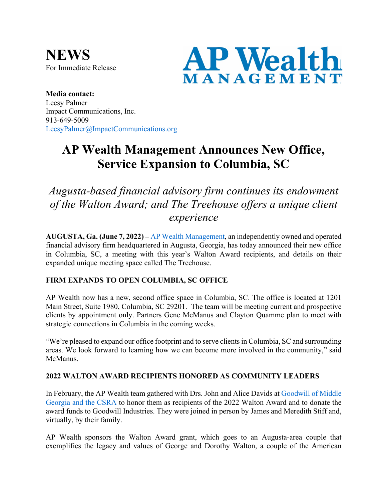**NEWS** For Immediate Release



**Media contact:** Leesy Palmer Impact Communications, Inc. 913-649-5009 LeesyPalmer@ImpactCommunications.org

# **AP Wealth Management Announces New Office, Service Expansion to Columbia, SC**

*Augusta-based financial advisory firm continues its endowment of the Walton Award; and The Treehouse offers a unique client experience*

**AUGUSTA, Ga. (June 7, 2022) –** AP Wealth Management, an independently owned and operated financial advisory firm headquartered in Augusta, Georgia, has today announced their new office in Columbia, SC, a meeting with this year's Walton Award recipients, and details on their expanded unique meeting space called The Treehouse.

## **FIRM EXPANDS TO OPEN COLUMBIA, SC OFFICE**

AP Wealth now has a new, second office space in Columbia, SC. The office is located at 1201 Main Street, Suite 1980, Columbia, SC 29201. The team will be meeting current and prospective clients by appointment only. Partners Gene McManus and Clayton Quamme plan to meet with strategic connections in Columbia in the coming weeks.

"We're pleased to expand our office footprint and to serve clients in Columbia, SC and surrounding areas. We look forward to learning how we can become more involved in the community," said McManus.

## **2022 WALTON AWARD RECIPIENTS HONORED AS COMMUNITY LEADERS**

In February, the AP Wealth team gathered with Drs. John and Alice Davids at Goodwill of Middle Georgia and the CSRA to honor them as recipients of the 2022 Walton Award and to donate the award funds to Goodwill Industries. They were joined in person by James and Meredith Stiff and, virtually, by their family.

AP Wealth sponsors the Walton Award grant, which goes to an Augusta-area couple that exemplifies the legacy and values of George and Dorothy Walton, a couple of the American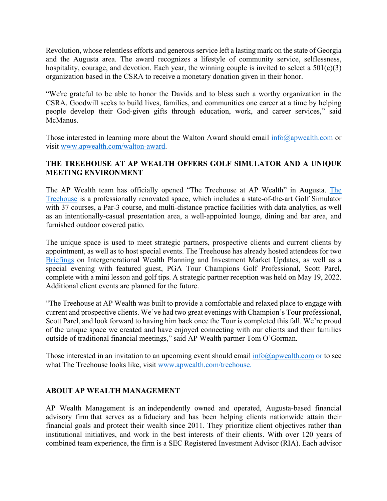Revolution, whose relentless efforts and generous service left a lasting mark on the state of Georgia and the Augusta area. The award recognizes a lifestyle of community service, selflessness, hospitality, courage, and devotion. Each year, the winning couple is invited to select a  $501(c)(3)$ organization based in the CSRA to receive a monetary donation given in their honor.

"We're grateful to be able to honor the Davids and to bless such a worthy organization in the CSRA. Goodwill seeks to build lives, families, and communities one career at a time by helping people develop their God-given gifts through education, work, and career services," said McManus.

Those interested in learning more about the Walton Award should email  $info(\hat{\omega})$  apwealth.com or visit www.apwealth.com/walton-award.

#### **THE TREEHOUSE AT AP WEALTH OFFERS GOLF SIMULATOR AND A UNIQUE MEETING ENVIRONMENT**

The AP Wealth team has officially opened "The Treehouse at AP Wealth" in Augusta. The Treehouse is a professionally renovated space, which includes a state-of-the-art Golf Simulator with 37 courses, a Par-3 course, and multi-distance practice facilities with data analytics, as well as an intentionally-casual presentation area, a well-appointed lounge, dining and bar area, and furnished outdoor covered patio.

The unique space is used to meet strategic partners, prospective clients and current clients by appointment, as well as to host special events. The Treehouse has already hosted attendees for two Briefings on Intergenerational Wealth Planning and Investment Market Updates, as well as a special evening with featured guest, PGA Tour Champions Golf Professional, Scott Parel, complete with a mini lesson and golf tips. A strategic partner reception was held on May 19, 2022. Additional client events are planned for the future.

"The Treehouse at AP Wealth was built to provide a comfortable and relaxed place to engage with current and prospective clients. We've had two great evenings with Champion's Tour professional, Scott Parel, and look forward to having him back once the Tour is completed this fall. We're proud of the unique space we created and have enjoyed connecting with our clients and their families outside of traditional financial meetings," said AP Wealth partner Tom O'Gorman.

Those interested in an invitation to an upcoming event should email  $\inf_{\Omega}$   $\frac{\partial \phi}{\partial x}$  apwealth.com or to see what The Treehouse looks like, visit www.apwealth.com/treehouse.

#### **ABOUT AP WEALTH MANAGEMENT**

AP Wealth Management is an independently owned and operated, Augusta-based financial advisory firm that serves as a fiduciary and has been helping clients nationwide attain their financial goals and protect their wealth since 2011. They prioritize client objectives rather than institutional initiatives, and work in the best interests of their clients. With over 120 years of combined team experience, the firm is a SEC Registered Investment Advisor (RIA). Each advisor